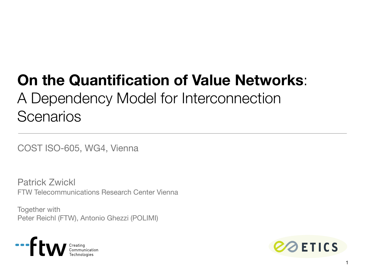# **On the Quantification of Value Networks**: A Dependency Model for Interconnection **Scenarios**

COST ISO-605, WG4, Vienna

Patrick Zwickl FTW Telecommunications Research Center Vienna

Together with Peter Reichl (FTW), Antonio Ghezzi (POLIMI)



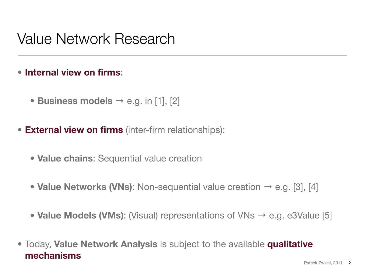#### Value Network Research

#### • **Internal view on firms:**

- **Business models** → e.g. in [1], [2]
- **External view on firms** (inter-firm relationships):
	- **Value chains**: Sequential value creation
	- **Value Networks (VNs)**: Non-sequential value creation → e.g. [3], [4]
	- **Value Models (VMs)**: (Visual) representations of VNs → e.g. e3Value [5]
- Today, **Value Network Analysis** is subject to the available **qualitative mechanisms**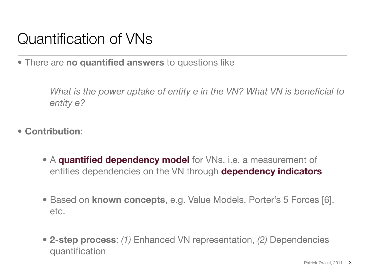# Quantification of VNs

• There are **no quantified answers** to questions like

What is the power uptake of entity e in the VN? What VN is beneficial to *entity e?*

- **Contribution**:
	- A **quantified dependency model** for VNs, i.e. a measurement of entities dependencies on the VN through **dependency indicators**
	- Based on **known concepts**, e.g. Value Models, Porter's 5 Forces [6], etc.
	- **2-step process**: *(1)* Enhanced VN representation, *(2)* Dependencies quantification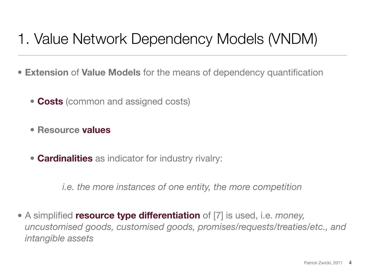## 1. Value Network Dependency Models (VNDM)

- **Extension** of **Value Models** for the means of dependency quantification
	- **Costs** (common and assigned costs)
	- **• Resource values**
	- **Cardinalities** as indicator for industry rivalry:

*i.e. the more instances of one entity, the more competition*

• A simplified **resource type differentiation** of [7] is used, i.e. *money, uncustomised goods, customised goods, promises/requests/treaties/etc., and intangible assets*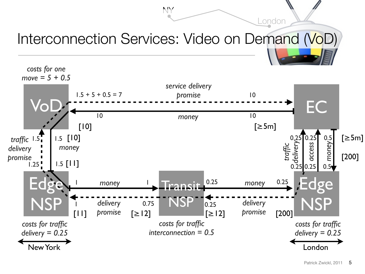#### Interconnection Services: Video on Demand (VoD) Iterconnection Services: Video on Demand NoDU

London

NY

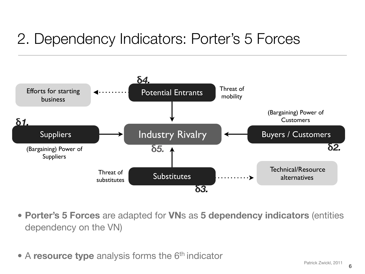# 2. Dependency Indicators: Porter's 5 Forces



- **Porter's 5 Forces** are adapted for **VN**s as **5 dependency indicators** (entities dependency on the VN)
- A **resource type** analysis forms the 6<sup>th</sup> indicator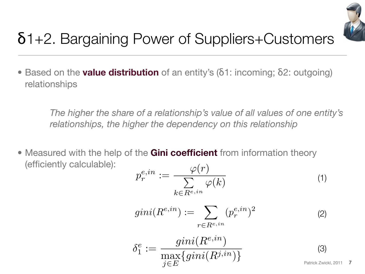

# δ1+2. Bargaining Power of Suppliers+Customers

• Based on the **value distribution** of an entity's (δ1: incoming; δ2: outgoing) relationships

*The higher the share of a relationship's value of all values of one entity's relationships, the higher the dependency on this relationship*

• Measured with the help of the **Gini coefficient** from information theory (efficiently calculable):  $(1)$ 

$$
p_r^{e,in} := \frac{\varphi(r)}{\sum_{k \in R^{e,in}} \varphi(k)} \tag{1}
$$

$$
gini(R^{e,in}) := \sum_{r \in R^{e,in}} (p_r^{e,in})^2
$$
 (2)

$$
\delta_1^e := \frac{gini(R^{e,in})}{\max_{j \in E} \{gini(R^{j,in})\}}
$$
\n(3)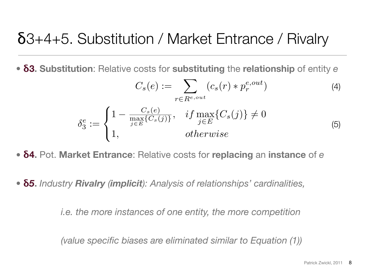### δ3+4+5. Substitution / Market Entrance / Rivalry

• **δ3. Substitution**: Relative costs for **substituting** the **relationship** of entity *e*

$$
C_s(e) := \sum_{r \in R^{e,out}} (c_s(r) * p_r^{e,out})
$$
  
\n
$$
\delta_3^e := \begin{cases}\n1 - \frac{C_s(e)}{\max\{C_s(j)\}}, & \text{if } \max_{j \in E} \{C_s(j)\} \neq 0 \\
1, & \text{otherwise}\n\end{cases}
$$
\n(4)

• **δ4.** Pot. **Market Entrance**: Relative costs for **replacing** an **instance** of *e*

• **δ***5***.** *Industry Rivalry (implicit): Analysis of relationships' cardinalities,*

*i.e. the more instances of one entity, the more competition*

*(value specific biases are eliminated similar to Equation (1))*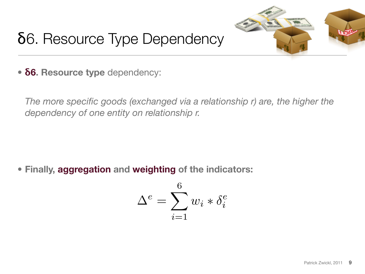

# δ6. Resource Type Dependency

• **δ6. Resource type** dependency:

*The more specific goods (exchanged via a relationship r) are, the higher the dependency of one entity on relationship r.*

**• Finally, aggregation and weighting of the indicators:**

$$
\Delta^e = \sum_{i=1}^6 w_i * \delta_i^e
$$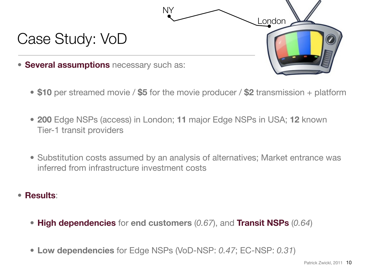

- **\$10** per streamed movie / **\$5** for the movie producer / **\$2** transmission + platform
- **200** Edge NSPs (access) in London; **11** major Edge NSPs in USA; **12** known Tier-1 transit providers
- Substitution costs assumed by an analysis of alternatives; Market entrance was inferred from infrastructure investment costs
- **Results**:
	- **High dependencies** for **end customers** (*0.67*), and **Transit NSPs** (*0.64*)
	- **Low dependencies** for Edge NSPs (VoD-NSP: *0.47*; EC-NSP: *0.31*)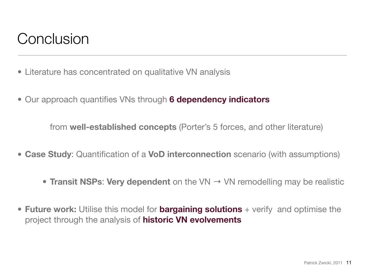### Conclusion

- Literature has concentrated on qualitative VN analysis
- Our approach quantifies VNs through **6 dependency indicators**

from **well-established concepts** (Porter's 5 forces, and other literature)

- **Case Study**: Quantification of a **VoD interconnection** scenario (with assumptions)
	- **Transit NSPs: Very dependent** on the VN → VN remodelling may be realistic
- **Future work:** Utilise this model for **bargaining solutions** + verify and optimise the project through the analysis of **historic VN evolvements**